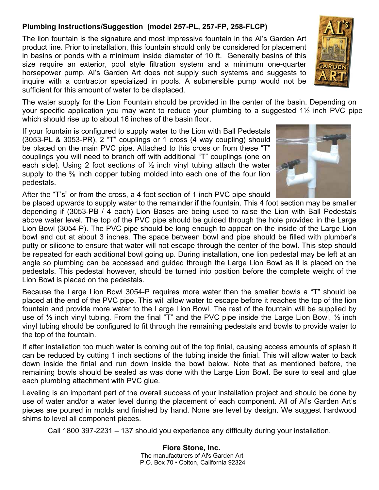## **Plumbing Instructions/Suggestion (model 257-PL, 257-FP, 258-FLCP)**

The lion fountain is the signature and most impressive fountain in the Al's Garden Art product line. Prior to installation, this fountain should only be considered for placement in basins or ponds with a minimum inside diameter of 10 ft. Generally basins of this size require an exterior, pool style filtration system and a minimum one-quarter horsepower pump. Al's Garden Art does not supply such systems and suggests to inquire with a contractor specialized in pools. A submersible pump would not be sufficient for this amount of water to be displaced.

The water supply for the Lion Fountain should be provided in the center of the basin. Depending on your specific application you may want to reduce your plumbing to a suggested 1½ inch PVC pipe which should rise up to about 16 inches of the basin floor.

If your fountain is configured to supply water to the Lion with Ball Pedestals (3053-PL & 3053-PR), 2 "T" couplings or 1 cross (4 way coupling) should be placed on the main PVC pipe. Attached to this cross or from these "T" couplings you will need to branch off with additional "T" couplings (one on each side). Using 2 foot sections of  $\frac{1}{2}$  inch vinyl tubing attach the water supply to the ⅝ inch copper tubing molded into each one of the four lion pedestals.

After the "T's" or from the cross, a 4 foot section of 1 inch PVC pipe should

be placed upwards to supply water to the remainder if the fountain. This 4 foot section may be smaller depending if (3053-PB / 4 each) Lion Bases are being used to raise the Lion with Ball Pedestals above water level. The top of the PVC pipe should be guided through the hole provided in the Large Lion Bowl (3054-P). The PVC pipe should be long enough to appear on the inside of the Large Lion bowl and cut at about 3 inches. The space between bowl and pipe should be filled with plumber's putty or silicone to ensure that water will not escape through the center of the bowl. This step should be repeated for each additional bowl going up. During installation, one lion pedestal may be left at an angle so plumbing can be accessed and guided through the Large Lion Bowl as it is placed on the pedestals. This pedestal however, should be turned into position before the complete weight of the Lion Bowl is placed on the pedestals.

Because the Large Lion Bowl 3054-P requires more water then the smaller bowls a "T" should be placed at the end of the PVC pipe. This will allow water to escape before it reaches the top of the lion fountain and provide more water to the Large Lion Bowl. The rest of the fountain will be supplied by use of  $\frac{1}{2}$  inch vinyl tubing. From the final "T" and the PVC pipe inside the Large Lion Bowl,  $\frac{1}{2}$  inch vinyl tubing should be configured to fit through the remaining pedestals and bowls to provide water to the top of the fountain.

If after installation too much water is coming out of the top finial, causing access amounts of splash it can be reduced by cutting 1 inch sections of the tubing inside the finial. This will allow water to back down inside the finial and run down inside the bowl below. Note that as mentioned before, the remaining bowls should be sealed as was done with the Large Lion Bowl. Be sure to seal and glue each plumbing attachment with PVC glue.

Leveling is an important part of the overall success of your installation project and should be done by use of water and/or a water level during the placement of each component. All of Al's Garden Art's pieces are poured in molds and finished by hand. None are level by design. We suggest hardwood shims to level all component pieces.

Call 1800 397-2231 – 137 should you experience any difficulty during your installation.

## **Fiore Stone, Inc.**

The manufacturers of Al's Garden Art P.O. Box 70 ▪ Colton, California 92324